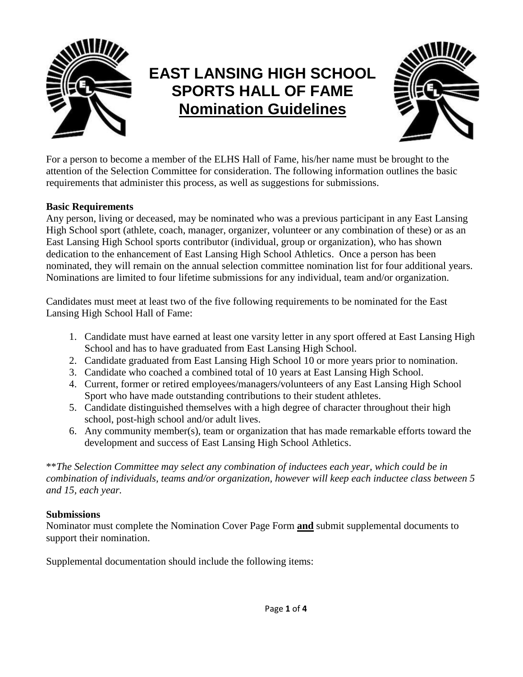

# **EAST LANSING HIGH SCHOOL SPORTS HALL OF FAME Nomination Guidelines**



For a person to become a member of the ELHS Hall of Fame, his/her name must be brought to the attention of the Selection Committee for consideration. The following information outlines the basic requirements that administer this process, as well as suggestions for submissions.

### **Basic Requirements**

Any person, living or deceased, may be nominated who was a previous participant in any East Lansing High School sport (athlete, coach, manager, organizer, volunteer or any combination of these) or as an East Lansing High School sports contributor (individual, group or organization), who has shown dedication to the enhancement of East Lansing High School Athletics. Once a person has been nominated, they will remain on the annual selection committee nomination list for four additional years. Nominations are limited to four lifetime submissions for any individual, team and/or organization.

Candidates must meet at least two of the five following requirements to be nominated for the East Lansing High School Hall of Fame:

- 1. Candidate must have earned at least one varsity letter in any sport offered at East Lansing High School and has to have graduated from East Lansing High School.
- 2. Candidate graduated from East Lansing High School 10 or more years prior to nomination.
- 3. Candidate who coached a combined total of 10 years at East Lansing High School.
- 4. Current, former or retired employees/managers/volunteers of any East Lansing High School Sport who have made outstanding contributions to their student athletes.
- 5. Candidate distinguished themselves with a high degree of character throughout their high school, post-high school and/or adult lives.
- 6. Any community member(s), team or organization that has made remarkable efforts toward the development and success of East Lansing High School Athletics.

\*\**The Selection Committee may select any combination of inductees each year, which could be in combination of individuals, teams and/or organization, however will keep each inductee class between 5 and 15, each year.* 

#### **Submissions**

Nominator must complete the Nomination Cover Page Form **and** submit supplemental documents to support their nomination.

Supplemental documentation should include the following items: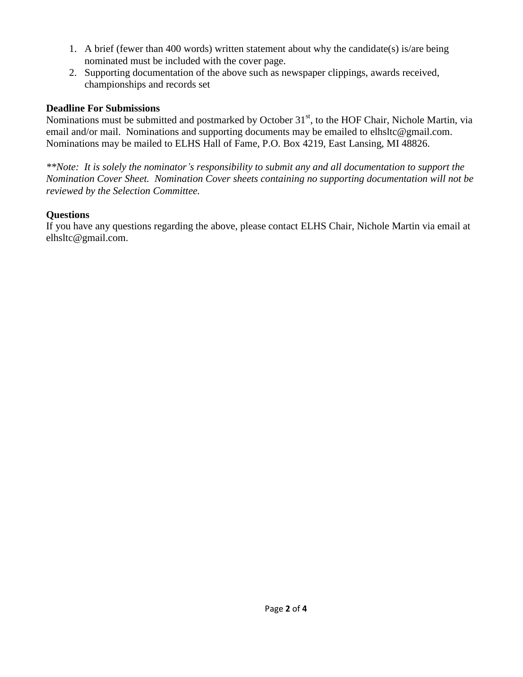- 1. A brief (fewer than 400 words) written statement about why the candidate(s) is/are being nominated must be included with the cover page.
- 2. Supporting documentation of the above such as newspaper clippings, awards received, championships and records set

#### **Deadline For Submissions**

Nominations must be submitted and postmarked by October 31<sup>st</sup>, to the HOF Chair, Nichole Martin, via email and/or mail. Nominations and supporting documents may be emailed to elhsltc@gmail.com. Nominations may be mailed to ELHS Hall of Fame, P.O. Box 4219, East Lansing, MI 48826.

*\*\*Note: It is solely the nominator's responsibility to submit any and all documentation to support the Nomination Cover Sheet. Nomination Cover sheets containing no supporting documentation will not be reviewed by the Selection Committee.*

### **Questions**

If you have any questions regarding the above, please contact ELHS Chair, Nichole Martin via email at elhsltc@gmail.com.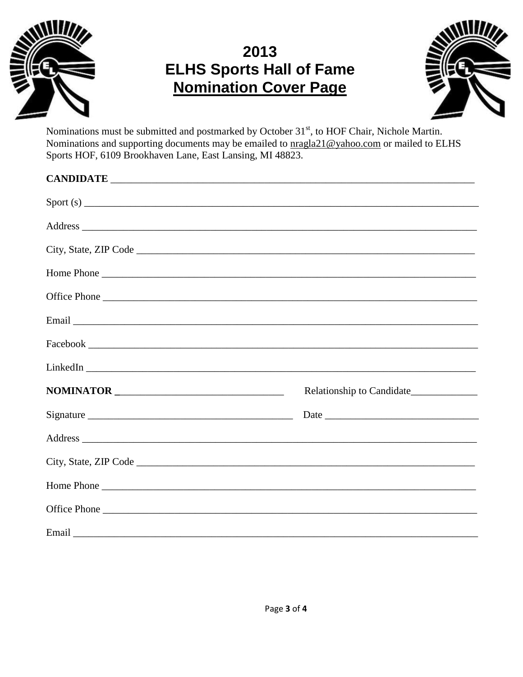

## 2013 **ELHS Sports Hall of Fame Nomination Cover Page**



Nominations must be submitted and postmarked by October 31<sup>st</sup>, to HOF Chair, Nichole Martin. Nominations and supporting documents may be emailed to pragla21@yahoo.com or mailed to ELHS Sports HOF, 6109 Brookhaven Lane, East Lansing, MI 48823.

| $\text{Spot}(s)$                                                                                                                                                                                                              |
|-------------------------------------------------------------------------------------------------------------------------------------------------------------------------------------------------------------------------------|
|                                                                                                                                                                                                                               |
|                                                                                                                                                                                                                               |
| Home Phone                                                                                                                                                                                                                    |
|                                                                                                                                                                                                                               |
|                                                                                                                                                                                                                               |
|                                                                                                                                                                                                                               |
|                                                                                                                                                                                                                               |
|                                                                                                                                                                                                                               |
| Date has been as a series of the series of the series of the series of the series of the series of the series of the series of the series of the series of the series of the series of the series of the series of the series |
|                                                                                                                                                                                                                               |
|                                                                                                                                                                                                                               |
| Home Phone                                                                                                                                                                                                                    |
|                                                                                                                                                                                                                               |
|                                                                                                                                                                                                                               |